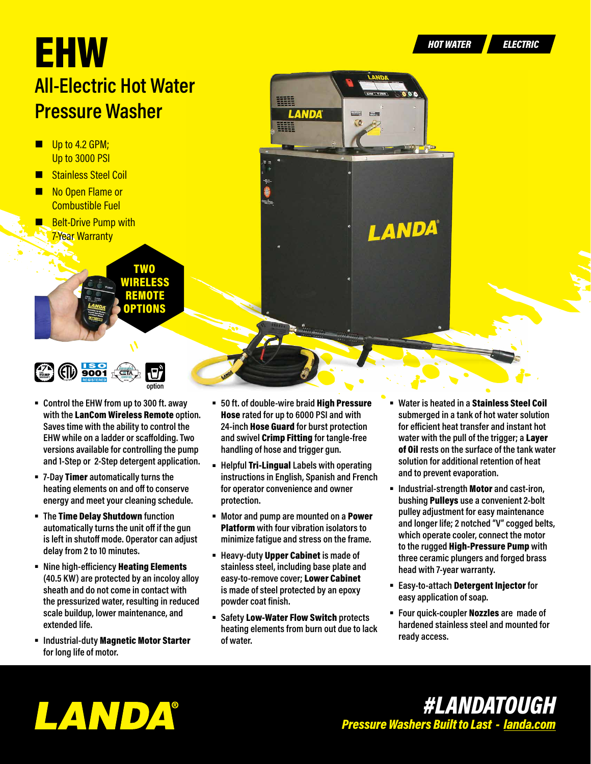LANDA®

## EHW *HOT WATER ELECTRIC* **All-Electric Hot Water Pressure Washer**

- $\blacksquare$  Up to 4.2 GPM; Up to 3000 PSI
- Stainless Steel Coil
- No Open Flame or Combustible Fuel
- **Belt-Drive Pump with 7-Year Warranty**





- **Control the EHW from up to 300 ft. away with the** LanCom Wireless Remote **option. Saves time with the ability to control the EHW while on a ladder or scaffolding. Two versions available for controlling the pump and 1-Step or 2-Step detergent application.**
- **7-Day** Timer **automatically turns the heating elements on and off to conserve energy and meet your cleaning schedule.**
- **The** Time Delay Shutdown **function automatically turns the unit off if the gun is left in shutoff mode. Operator can adjust delay from 2 to 10 minutes.**
- **EXIME:** Nine high-efficiency **Heating Elements (40.5 KW) are protected by an incoloy alloy sheath and do not come in contact with the pressurized water, resulting in reduced scale buildup, lower maintenance, and extended life.**
- **Industrial-duty** Magnetic Motor Starter **for long life of motor.**

 **50 ft. of double-wire braid** High Pressure Hose **rated for up to 6000 PSI and with 24-inch** Hose Guard **for burst protection and swivel** Crimp Fitting **for tangle-free handling of hose and trigger gun.**

LANDA

華華

- **Helpful** Tri-Lingual **Labels with operating instructions in English, Spanish and French for operator convenience and owner protection.**
- **Motor and pump are mounted on a** Power Platform **with four vibration isolators to minimize fatigue and stress on the frame.**
- **Heavy-duty** Upper Cabinet **is made of stainless steel, including base plate and easy-to-remove cover;** Lower Cabinet **is made of steel protected by an epoxy powder coat finish.**
- **Safety** Low-Water Flow Switch **protects heating elements from burn out due to lack of water.**
- **Water is heated in a** Stainless Steel Coil **submerged in a tank of hot water solution for efficient heat transfer and instant hot water with the pull of the trigger; a** Layer of Oil **rests on the surface of the tank water solution for additional retention of heat and to prevent evaporation.**
- **Industrial-strength** Motor **and cast-iron, bushing** Pulleys **use a convenient 2-bolt pulley adjustment for easy maintenance and longer life; 2 notched "V" cogged belts, which operate cooler, connect the motor to the rugged** High-Pressure Pump **with three ceramic plungers and forged brass head with 7-year warranty.**
- **Easy-to-attach** Detergent Injector **for easy application of soap.**
- **Four quick-coupler** Nozzles **are made of hardened stainless steel and mounted for ready access.**

LANDA®

## *#LANDATOUGH Pressure Washers Built to Last - [landa.com](https://www.landa.com)*